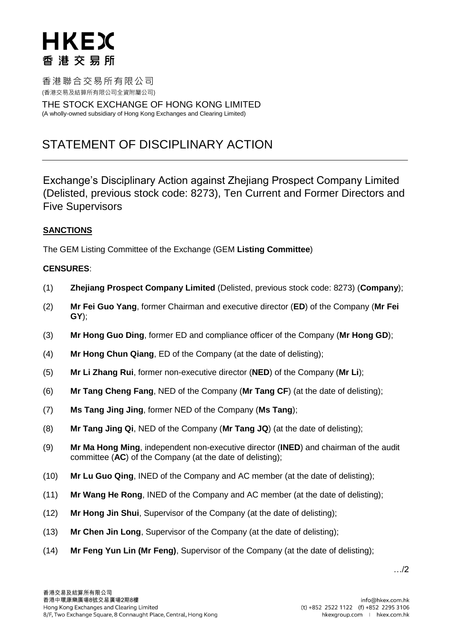# HKEX 香港交易所

香港聯合交易所有限公司 (香港交易及結算所有限公司全資附屬公司)

THE STOCK EXCHANGE OF HONG KONG LIMITED (A wholly-owned subsidiary of Hong Kong Exchanges and Clearing Limited)

### STATEMENT OF DISCIPLINARY ACTION

Exchange's Disciplinary Action against Zhejiang Prospect Company Limited (Delisted, previous stock code: 8273), Ten Current and Former Directors and Five Supervisors

#### **SANCTIONS**

The GEM Listing Committee of the Exchange (GEM **Listing Committee**)

#### **CENSURES**:

- (1) **Zhejiang Prospect Company Limited** (Delisted, previous stock code: 8273) (**Company**);
- (2) **Mr Fei Guo Yang**, former Chairman and executive director (**ED**) of the Company (**Mr Fei GY**);
- (3) **Mr Hong Guo Ding**, former ED and compliance officer of the Company (**Mr Hong GD**);
- (4) **Mr Hong Chun Qiang**, ED of the Company (at the date of delisting);
- (5) **Mr Li Zhang Rui**, former non-executive director (**NED**) of the Company (**Mr Li**);
- (6) **Mr Tang Cheng Fang**, NED of the Company (**Mr Tang CF**) (at the date of delisting);
- (7) **Ms Tang Jing Jing**, former NED of the Company (**Ms Tang**);
- (8) **Mr Tang Jing Qi**, NED of the Company (**Mr Tang JQ**) (at the date of delisting);
- (9) **Mr Ma Hong Ming**, independent non-executive director (**INED**) and chairman of the audit committee (**AC**) of the Company (at the date of delisting);
- (10) **Mr Lu Guo Qing**, INED of the Company and AC member (at the date of delisting);
- (11) **Mr Wang He Rong**, INED of the Company and AC member (at the date of delisting);
- (12) **Mr Hong Jin Shui**, Supervisor of the Company (at the date of delisting);
- (13) **Mr Chen Jin Long**, Supervisor of the Company (at the date of delisting);
- (14) **Mr Feng Yun Lin (Mr Feng)**, Supervisor of the Company (at the date of delisting);

…/2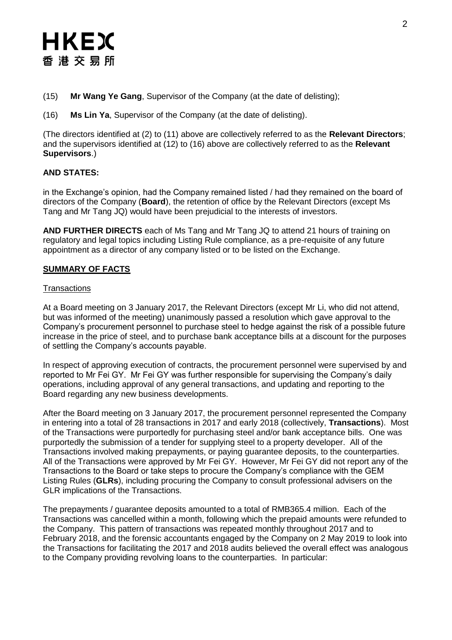### HKEX 香港交易所

- (15) **Mr Wang Ye Gang**, Supervisor of the Company (at the date of delisting);
- (16) **Ms Lin Ya**, Supervisor of the Company (at the date of delisting).

(The directors identified at (2) to (11) above are collectively referred to as the **Relevant Directors**; and the supervisors identified at (12) to (16) above are collectively referred to as the **Relevant Supervisors**.)

#### **AND STATES:**

in the Exchange's opinion, had the Company remained listed / had they remained on the board of directors of the Company (**Board**), the retention of office by the Relevant Directors (except Ms Tang and Mr Tang JQ) would have been prejudicial to the interests of investors.

**AND FURTHER DIRECTS** each of Ms Tang and Mr Tang JQ to attend 21 hours of training on regulatory and legal topics including Listing Rule compliance, as a pre-requisite of any future appointment as a director of any company listed or to be listed on the Exchange.

#### **SUMMARY OF FACTS**

#### **Transactions**

At a Board meeting on 3 January 2017, the Relevant Directors (except Mr Li, who did not attend, but was informed of the meeting) unanimously passed a resolution which gave approval to the Company's procurement personnel to purchase steel to hedge against the risk of a possible future increase in the price of steel, and to purchase bank acceptance bills at a discount for the purposes of settling the Company's accounts payable.

In respect of approving execution of contracts, the procurement personnel were supervised by and reported to Mr Fei GY. Mr Fei GY was further responsible for supervising the Company's daily operations, including approval of any general transactions, and updating and reporting to the Board regarding any new business developments.

After the Board meeting on 3 January 2017, the procurement personnel represented the Company in entering into a total of 28 transactions in 2017 and early 2018 (collectively, **Transactions**). Most of the Transactions were purportedly for purchasing steel and/or bank acceptance bills. One was purportedly the submission of a tender for supplying steel to a property developer. All of the Transactions involved making prepayments, or paying guarantee deposits, to the counterparties. All of the Transactions were approved by Mr Fei GY. However, Mr Fei GY did not report any of the Transactions to the Board or take steps to procure the Company's compliance with the GEM Listing Rules (**GLRs**), including procuring the Company to consult professional advisers on the GLR implications of the Transactions.

The prepayments / guarantee deposits amounted to a total of RMB365.4 million. Each of the Transactions was cancelled within a month, following which the prepaid amounts were refunded to the Company. This pattern of transactions was repeated monthly throughout 2017 and to February 2018, and the forensic accountants engaged by the Company on 2 May 2019 to look into the Transactions for facilitating the 2017 and 2018 audits believed the overall effect was analogous to the Company providing revolving loans to the counterparties. In particular: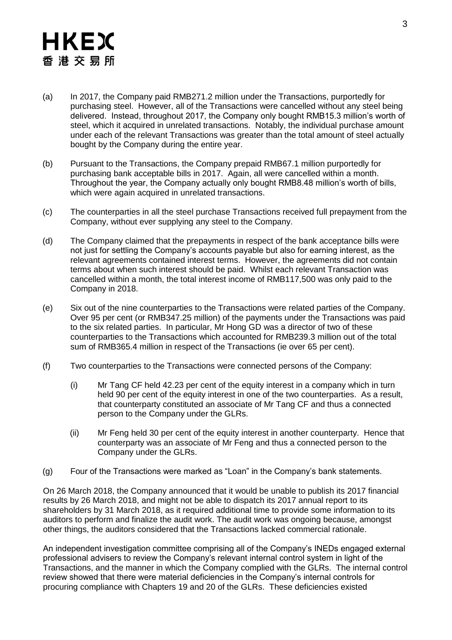## HKEX 香港交易所

- (a) In 2017, the Company paid RMB271.2 million under the Transactions, purportedly for purchasing steel. However, all of the Transactions were cancelled without any steel being delivered. Instead, throughout 2017, the Company only bought RMB15.3 million's worth of steel, which it acquired in unrelated transactions. Notably, the individual purchase amount under each of the relevant Transactions was greater than the total amount of steel actually bought by the Company during the entire year.
- (b) Pursuant to the Transactions, the Company prepaid RMB67.1 million purportedly for purchasing bank acceptable bills in 2017. Again, all were cancelled within a month. Throughout the year, the Company actually only bought RMB8.48 million's worth of bills, which were again acquired in unrelated transactions.
- (c) The counterparties in all the steel purchase Transactions received full prepayment from the Company, without ever supplying any steel to the Company.
- (d) The Company claimed that the prepayments in respect of the bank acceptance bills were not just for settling the Company's accounts payable but also for earning interest, as the relevant agreements contained interest terms. However, the agreements did not contain terms about when such interest should be paid. Whilst each relevant Transaction was cancelled within a month, the total interest income of RMB117,500 was only paid to the Company in 2018.
- (e) Six out of the nine counterparties to the Transactions were related parties of the Company. Over 95 per cent (or RMB347.25 million) of the payments under the Transactions was paid to the six related parties. In particular, Mr Hong GD was a director of two of these counterparties to the Transactions which accounted for RMB239.3 million out of the total sum of RMB365.4 million in respect of the Transactions (ie over 65 per cent).
- (f) Two counterparties to the Transactions were connected persons of the Company:
	- (i) Mr Tang CF held 42.23 per cent of the equity interest in a company which in turn held 90 per cent of the equity interest in one of the two counterparties. As a result, that counterparty constituted an associate of Mr Tang CF and thus a connected person to the Company under the GLRs.
	- (ii) Mr Feng held 30 per cent of the equity interest in another counterparty. Hence that counterparty was an associate of Mr Feng and thus a connected person to the Company under the GLRs.
- (g) Four of the Transactions were marked as "Loan" in the Company's bank statements.

On 26 March 2018, the Company announced that it would be unable to publish its 2017 financial results by 26 March 2018, and might not be able to dispatch its 2017 annual report to its shareholders by 31 March 2018, as it required additional time to provide some information to its auditors to perform and finalize the audit work. The audit work was ongoing because, amongst other things, the auditors considered that the Transactions lacked commercial rationale.

An independent investigation committee comprising all of the Company's INEDs engaged external professional advisers to review the Company's relevant internal control system in light of the Transactions, and the manner in which the Company complied with the GLRs. The internal control review showed that there were material deficiencies in the Company's internal controls for procuring compliance with Chapters 19 and 20 of the GLRs. These deficiencies existed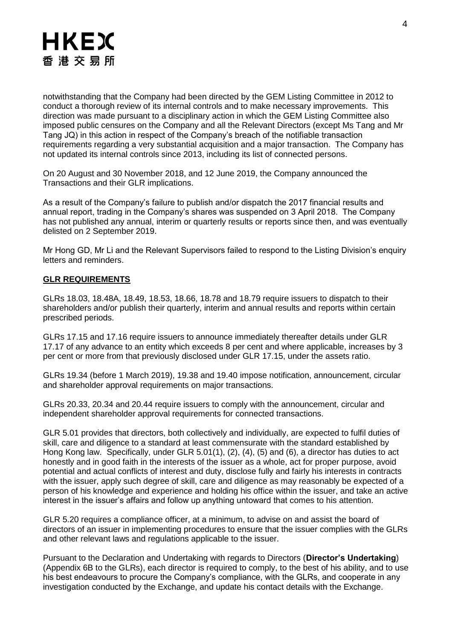

notwithstanding that the Company had been directed by the GEM Listing Committee in 2012 to conduct a thorough review of its internal controls and to make necessary improvements. This direction was made pursuant to a disciplinary action in which the GEM Listing Committee also imposed public censures on the Company and all the Relevant Directors (except Ms Tang and Mr Tang JQ) in this action in respect of the Company's breach of the notifiable transaction requirements regarding a very substantial acquisition and a major transaction. The Company has not updated its internal controls since 2013, including its list of connected persons.

On 20 August and 30 November 2018, and 12 June 2019, the Company announced the Transactions and their GLR implications.

As a result of the Company's failure to publish and/or dispatch the 2017 financial results and annual report, trading in the Company's shares was suspended on 3 April 2018. The Company has not published any annual, interim or quarterly results or reports since then, and was eventually delisted on 2 September 2019.

Mr Hong GD, Mr Li and the Relevant Supervisors failed to respond to the Listing Division's enquiry letters and reminders.

#### **GLR REQUIREMENTS**

GLRs 18.03, 18.48A, 18.49, 18.53, 18.66, 18.78 and 18.79 require issuers to dispatch to their shareholders and/or publish their quarterly, interim and annual results and reports within certain prescribed periods.

GLRs 17.15 and 17.16 require issuers to announce immediately thereafter details under GLR 17.17 of any advance to an entity which exceeds 8 per cent and where applicable, increases by 3 per cent or more from that previously disclosed under GLR 17.15, under the assets ratio.

GLRs 19.34 (before 1 March 2019), 19.38 and 19.40 impose notification, announcement, circular and shareholder approval requirements on major transactions.

GLRs 20.33, 20.34 and 20.44 require issuers to comply with the announcement, circular and independent shareholder approval requirements for connected transactions.

GLR 5.01 provides that directors, both collectively and individually, are expected to fulfil duties of skill, care and diligence to a standard at least commensurate with the standard established by Hong Kong law. Specifically, under GLR 5.01(1), (2), (4), (5) and (6), a director has duties to act honestly and in good faith in the interests of the issuer as a whole, act for proper purpose, avoid potential and actual conflicts of interest and duty, disclose fully and fairly his interests in contracts with the issuer, apply such degree of skill, care and diligence as may reasonably be expected of a person of his knowledge and experience and holding his office within the issuer, and take an active interest in the issuer's affairs and follow up anything untoward that comes to his attention.

GLR 5.20 requires a compliance officer, at a minimum, to advise on and assist the board of directors of an issuer in implementing procedures to ensure that the issuer complies with the GLRs and other relevant laws and regulations applicable to the issuer.

Pursuant to the Declaration and Undertaking with regards to Directors (**Director's Undertaking**) (Appendix 6B to the GLRs), each director is required to comply, to the best of his ability, and to use his best endeavours to procure the Company's compliance, with the GLRs, and cooperate in any investigation conducted by the Exchange, and update his contact details with the Exchange.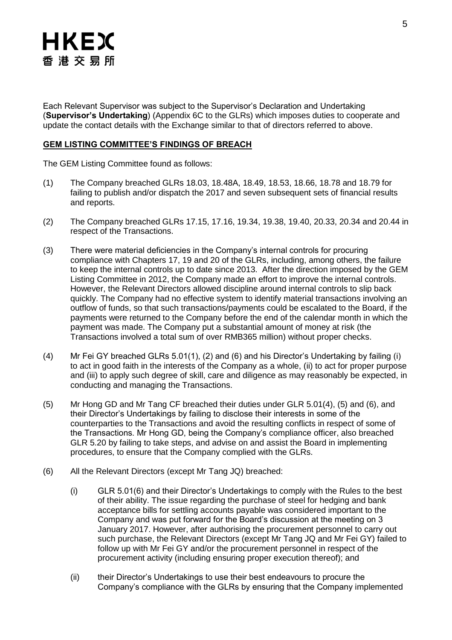

Each Relevant Supervisor was subject to the Supervisor's Declaration and Undertaking (**Supervisor's Undertaking**) (Appendix 6C to the GLRs) which imposes duties to cooperate and update the contact details with the Exchange similar to that of directors referred to above.

#### **GEM LISTING COMMITTEE'S FINDINGS OF BREACH**

The GEM Listing Committee found as follows:

- (1) The Company breached GLRs 18.03, 18.48A, 18.49, 18.53, 18.66, 18.78 and 18.79 for failing to publish and/or dispatch the 2017 and seven subsequent sets of financial results and reports.
- (2) The Company breached GLRs 17.15, 17.16, 19.34, 19.38, 19.40, 20.33, 20.34 and 20.44 in respect of the Transactions.
- (3) There were material deficiencies in the Company's internal controls for procuring compliance with Chapters 17, 19 and 20 of the GLRs, including, among others, the failure to keep the internal controls up to date since 2013. After the direction imposed by the GEM Listing Committee in 2012, the Company made an effort to improve the internal controls. However, the Relevant Directors allowed discipline around internal controls to slip back quickly. The Company had no effective system to identify material transactions involving an outflow of funds, so that such transactions/payments could be escalated to the Board, if the payments were returned to the Company before the end of the calendar month in which the payment was made. The Company put a substantial amount of money at risk (the Transactions involved a total sum of over RMB365 million) without proper checks.
- (4) Mr Fei GY breached GLRs 5.01(1), (2) and (6) and his Director's Undertaking by failing (i) to act in good faith in the interests of the Company as a whole, (ii) to act for proper purpose and (iii) to apply such degree of skill, care and diligence as may reasonably be expected, in conducting and managing the Transactions.
- (5) Mr Hong GD and Mr Tang CF breached their duties under GLR 5.01(4), (5) and (6), and their Director's Undertakings by failing to disclose their interests in some of the counterparties to the Transactions and avoid the resulting conflicts in respect of some of the Transactions. Mr Hong GD, being the Company's compliance officer, also breached GLR 5.20 by failing to take steps, and advise on and assist the Board in implementing procedures, to ensure that the Company complied with the GLRs.
- (6) All the Relevant Directors (except Mr Tang JQ) breached:
	- (i) GLR 5.01(6) and their Director's Undertakings to comply with the Rules to the best of their ability. The issue regarding the purchase of steel for hedging and bank acceptance bills for settling accounts payable was considered important to the Company and was put forward for the Board's discussion at the meeting on 3 January 2017. However, after authorising the procurement personnel to carry out such purchase, the Relevant Directors (except Mr Tang JQ and Mr Fei GY) failed to follow up with Mr Fei GY and/or the procurement personnel in respect of the procurement activity (including ensuring proper execution thereof); and
	- (ii) their Director's Undertakings to use their best endeavours to procure the Company's compliance with the GLRs by ensuring that the Company implemented